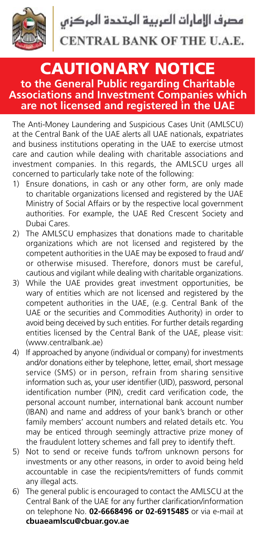

## **CAUTIONARY NOTICE to the General Public regarding Charitable Associations and Investment Companies which** are not licensed and registered in the UAE

The Anti-Money Laundering and Suspicious Cases Unit (AMLSCU) at the Central Bank of the UAE alerts all UAE nationals, expatriates and business institutions operating in the UAE to exercise utmost care and caution while dealing with charitable associations and investment companies. In this regards, the AMLSCU urges all concerned to particularly take note of the following:

- 1) Ensure donations, in cash or any other form, are only made to charitable organizations licensed and registered by the UAE Ministry of Social Affairs or by the respective local government authorities. For example, the UAE Red Crescent Society and Dubai Cares
- 2) The AMLSCU emphasizes that donations made to charitable organizations which are not licensed and registered by the competent authorities in the UAE may be exposed to fraud and/ or otherwise misused. Therefore, donors must be careful, cautious and vigilant while dealing with charitable organizations.
- 3) While the UAE provides great investment opportunities, be wary of entities which are not licensed and registered by the competent authorities in the UAE, (e.g. Central Bank of the UAE or the securities and Commodities Authority) in order to avoid being deceived by such entities. For further details regarding entities licensed by the Central Bank of the UAE, please visit: (www.centralbank.ae)
- 4) If approached by anyone (individual or company) for investments and/or donations either by telephone, letter, email, short message service (SMS) or in person, refrain from sharing sensitive information such as, your user identifier (UID), password, personal identification number (PIN), credit card verification code, the personal account number, international bank account number  $\overline{A}$  (IBAN) and name and address of vour bank's branch or other family members' account numbers and related details etc. You may be enticed through seemingly attractive prize money of the fraudulent lottery schemes and fall prey to identify theft.
- $5$ ) Not to send or receive funds to/from unknown persons for investments or any other reasons, in order to avoid being held  $accountable$  in case the recipients/remitters of funds commit any illegal acts.
- 6) The general public is encouraged to contact the AMLSCU at the Central Bank of the UAE for any further clarification/information on telephone No. **02-6668496 or 02-6915485** or via e-mail at cbuaeamlscu@cbuar.gov.ae